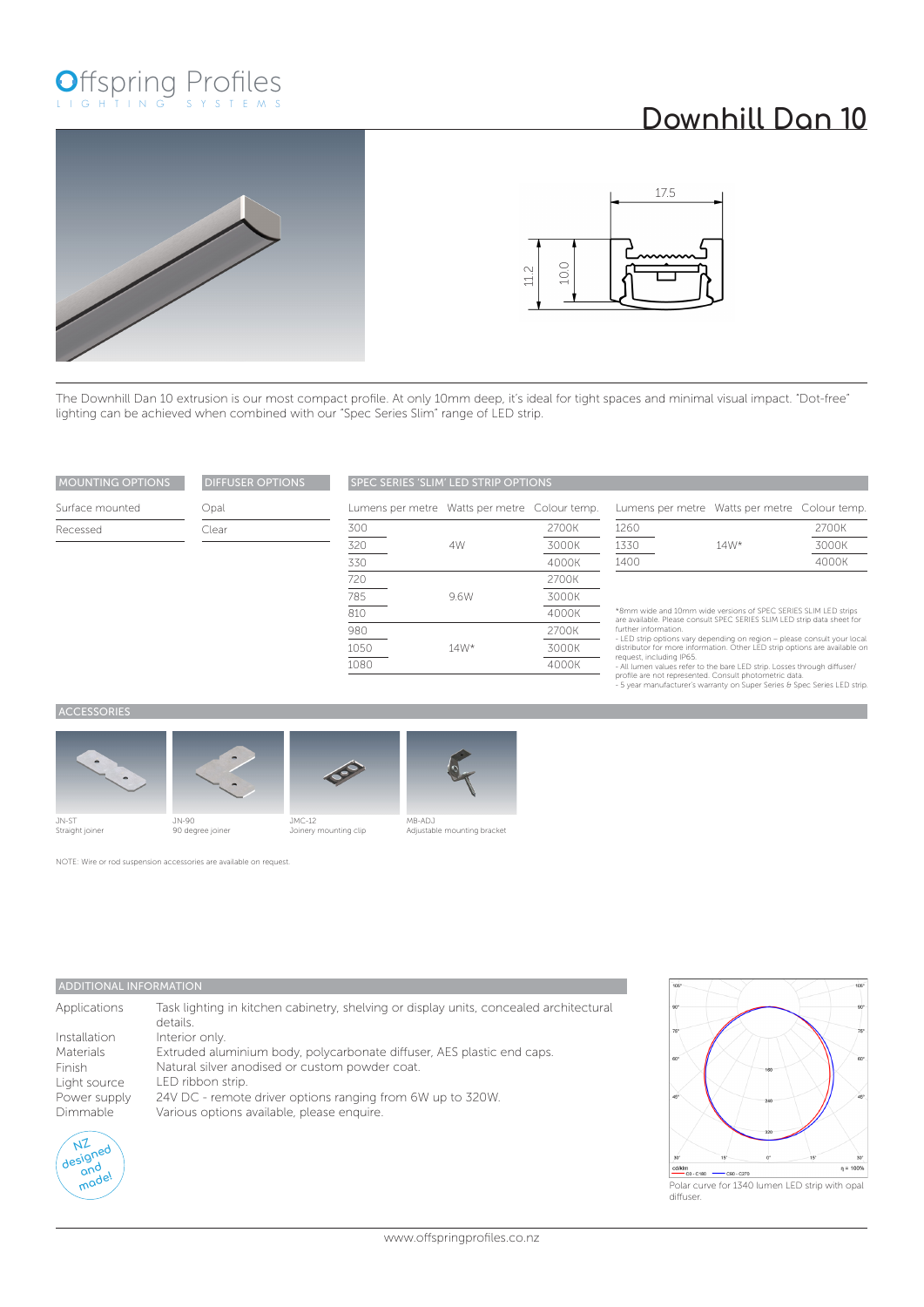# Offspring Profiles

## **Downhill Dan 10**





4000K 2700K 3000K 4000K

The Downhill Dan 10 extrusion is our most compact profile. At only 10mm deep, it's ideal for tight spaces and minimal visual impact. "Dot-free" lighting can be achieved when combined with our "Spec Series Slim" range of LED strip.

| <b>MOUNTING OPTIONS</b> | <b>DIFFUSER OPTIONS</b> | <b>SPEC SERIES 'SLIM' LED STRIP OPTIONS</b>   |      |       |                                              |        |       |
|-------------------------|-------------------------|-----------------------------------------------|------|-------|----------------------------------------------|--------|-------|
| Surface mounted         | Opal                    | Lumens per metre Watts per metre Colour temp. |      |       | Lumens per metre Watts per metre Colour temp |        |       |
| Recessed                | Clear                   | 300                                           |      | 2700K | 1260                                         |        | 2700K |
|                         |                         | 320                                           | 4W   | 3000K | 1330                                         | $14W*$ | 3000K |
|                         |                         | 330                                           |      | 4000K | 1400                                         |        | 4000K |
|                         |                         | 720                                           |      | 2700K |                                              |        |       |
|                         |                         | 785                                           | 9.6W | 3000K |                                              |        |       |

| connent per metre matte per metre l'ectear temp: |       |
|--------------------------------------------------|-------|
| 1260                                             | 2700K |

| 140U |        | Z/UUN |
|------|--------|-------|
| 1330 | $14W*$ | 3000K |
| 1400 |        | 4000K |
|      |        |       |

\*8mm wide and 10mm wide versions of SPEC SERIES SLIM LED strips<br>are available. Please consult SPEC SERIES SLIM LED strip data sheet for<br>further information.<br>The strip options vary depending on region – please consult your

#### **ACCESSORIES**









### MB-ADJ Adjustable mounting bracket

14W\*

NOTE: Wire or rod suspension accessories are available on request.

#### ADDITIONAL INFORMATION

| Applications | Task lighting in kitchen cabinetry, shelving or display units, concealed architectural<br>details. |
|--------------|----------------------------------------------------------------------------------------------------|
| Installation | Interior only.                                                                                     |
| Materials    | Extruded aluminium body, polycarbonate diffuser, AES plastic end caps.                             |
| Finish       | Natural silver anodised or custom powder coat.                                                     |
| Light source | LED ribbon strip.                                                                                  |
| Power supply | 24V DC - remote driver options ranging from 6W up to 320W.                                         |
| Dimmable     | Various options available, please enquire.                                                         |
|              |                                                                                                    |

JMC-12 Joinery mounting clip



105  $\overline{\phantom{a}}$  $\eta = 100%$ "CO-C180 - C90-C270

Polar curve for 1340 lumen LED strip with opal diffuser.